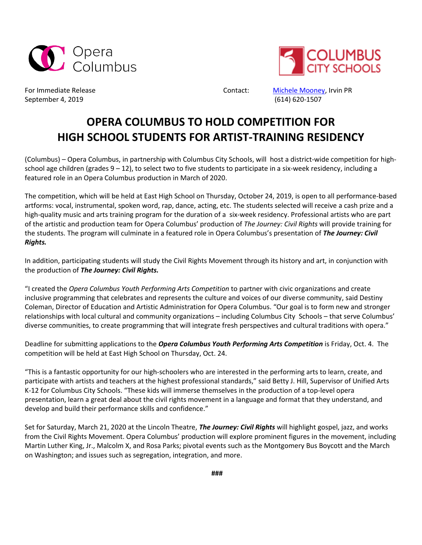



September 4, 2019 (614) 620-1507

For Immediate Release The Contact: [Michele Mooney,](mailto:michele@irvinpr.com) Irvin PR

## **OPERA COLUMBUS TO HOLD COMPETITION FOR HIGH SCHOOL STUDENTS FOR ARTIST-TRAINING RESIDENCY**

(Columbus) – Opera Columbus, in partnership with Columbus City Schools, will host a district-wide competition for highschool age children (grades 9 – 12), to select two to five students to participate in a six-week residency, including a featured role in an Opera Columbus production in March of 2020.

The competition, which will be held at East High School on Thursday, October 24, 2019, is open to all performance-based artforms: vocal, instrumental, spoken word, rap, dance, acting, etc. The students selected will receive a cash prize and a high-quality music and arts training program for the duration of a six-week residency. Professional artists who are part of the artistic and production team for Opera Columbus' production of *The Journey: Civil Rights* will provide training for the students. The program will culminate in a featured role in Opera Columbus's presentation of *The Journey: Civil Rights.* 

In addition, participating students will study the Civil Rights Movement through its history and art, in conjunction with the production of *The Journey: Civil Rights.*

"I created the *Opera Columbus Youth Performing Arts Competition* to partner with civic organizations and create inclusive programming that celebrates and represents the culture and voices of our diverse community, said Destiny Coleman, Director of Education and Artistic Administration for Opera Columbus. "Our goal is to form new and stronger relationships with local cultural and community organizations – including Columbus City Schools – that serve Columbus' diverse communities, to create programming that will integrate fresh perspectives and cultural traditions with opera."

Deadline for submitting applications to the *Opera Columbus Youth Performing Arts Competition* is Friday, Oct. 4. The competition will be held at East High School on Thursday, Oct. 24.

"This is a fantastic opportunity for our high-schoolers who are interested in the performing arts to learn, create, and participate with artists and teachers at the highest professional standards," said Betty J. Hill, Supervisor of Unified Arts K-12 for Columbus City Schools. "These kids will immerse themselves in the production of a top-level opera presentation, learn a great deal about the civil rights movement in a language and format that they understand, and develop and build their performance skills and confidence."

Set for Saturday, March 21, 2020 at the Lincoln Theatre, *The Journey: Civil Rights* will highlight gospel, jazz, and works from the Civil Rights Movement. Opera Columbus' production will explore prominent figures in the movement, including Martin Luther King, Jr., Malcolm X, and Rosa Parks; pivotal events such as the Montgomery Bus Boycott and the March on Washington; and issues such as segregation, integration, and more.